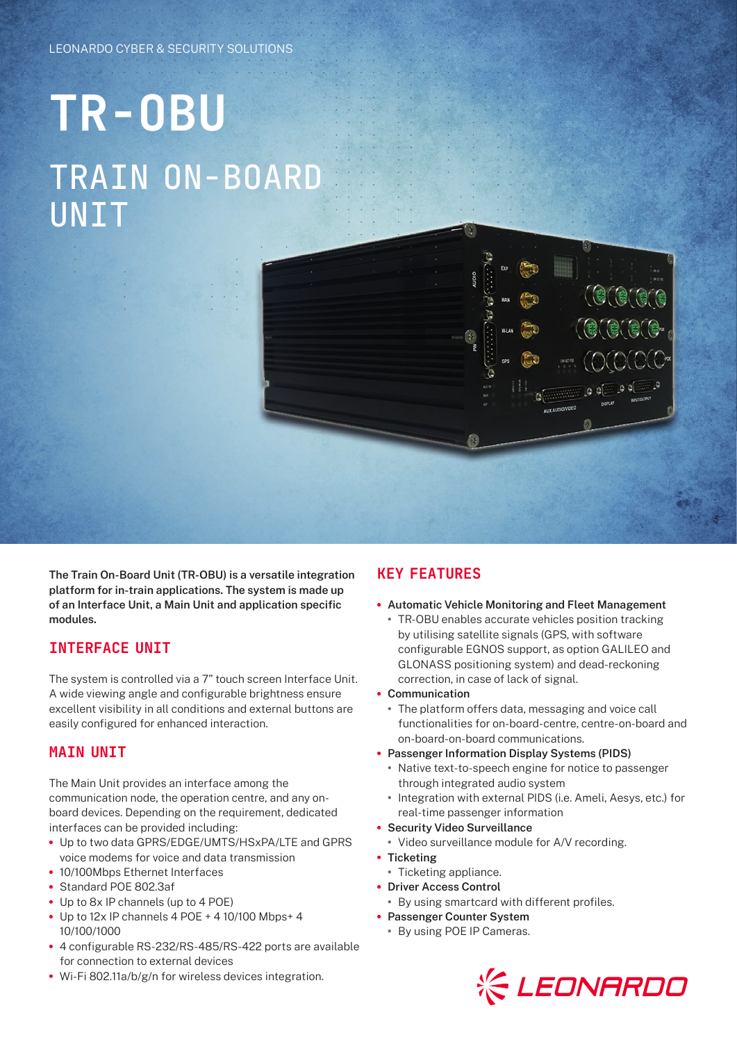# **TR-OBU** TRAIN ON-BOARD **UNIT**

**The Train On-Board Unit (TR-OBU) is a versatile integration platform for in-train applications. The system is made up of an Interface Unit, a Main Unit and application specific modules.**

## INTERFACE UNIT

The system is controlled via a 7" touch screen Interface Unit. A wide viewing angle and configurable brightness ensure excellent visibility in all conditions and external buttons are easily configured for enhanced interaction.

## MAIN UNIT

The Main Unit provides an interface among the communication node, the operation centre, and any onboard devices. Depending on the requirement, dedicated interfaces can be provided including:

- **•** Up to two data GPRS/EDGE/UMTS/HSxPA/LTE and GPRS voice modems for voice and data transmission
- **•** 10/100Mbps Ethernet Interfaces
- **•** Standard POE 802.3af
- **•** Up to 8x IP channels (up to 4 POE)
- **•** Up to 12x IP channels 4 POE + 4 10/100 Mbps+ 4 10/100/1000
- **•** 4 configurable RS-232/RS-485/RS-422 ports are available for connection to external devices
- **•** Wi-Fi 802.11a/b/g/n for wireless devices integration.

## KEY FEATURES

#### **• Automatic Vehicle Monitoring and Fleet Management**

- **•** TR-OBU enables accurate vehicles position tracking by utilising satellite signals (GPS, with software configurable EGNOS support, as option GALILEO and GLONASS positioning system) and dead-reckoning correction, in case of lack of signal.
- **• Communication**
	- **•** The platform offers data, messaging and voice call functionalities for on-board-centre, centre-on-board and on-board-on-board communications.
- **• Passenger Information Display Systems (PIDS)**
	- **•** Native text-to-speech engine for notice to passenger through integrated audio system
	- **•** Integration with external PIDS (i.e. Ameli, Aesys, etc.) for real-time passenger information
- **• Security Video Surveillance**
- **•** Video surveillance module for A/V recording.
- **• Ticketing**
	- **•** Ticketing appliance.
- **• Driver Access Control**
- **•** By using smartcard with different profiles.
- **• Passenger Counter System**
	- **•** By using POE IP Cameras.